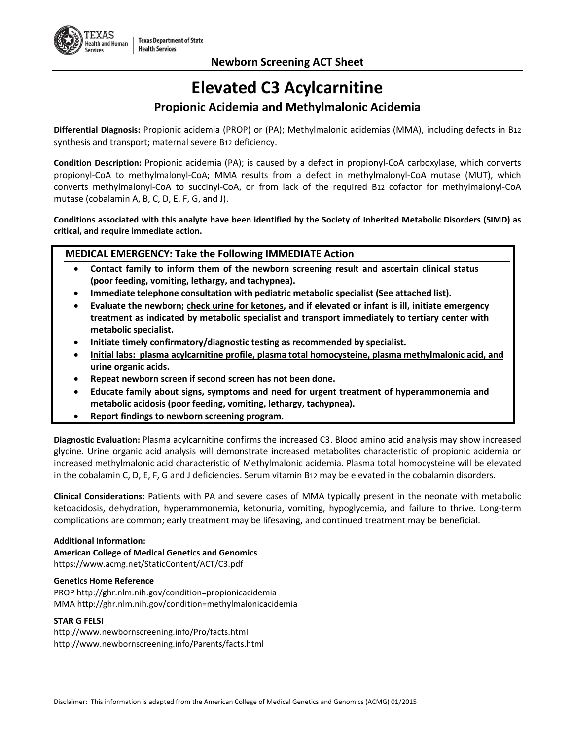# **Elevated C3 Acylcarnitine**

## **Propionic Acidemia and Methylmalonic Acidemia**

**Differential Diagnosis:** Propionic acidemia (PROP) or (PA); Methylmalonic acidemias (MMA), including defects in B12 synthesis and transport; maternal severe B12 deficiency.

**Condition Description:** Propionic acidemia (PA); is caused by a defect in propionyl-CoA carboxylase, which converts propionyl-CoA to methylmalonyl-CoA; MMA results from a defect in methylmalonyl-CoA mutase (MUT), which converts methylmalonyl-CoA to succinyl-CoA, or from lack of the required B12 cofactor for methylmalonyl-CoA mutase (cobalamin A, B, C, D, E, F, G, and J).

**Conditions associated with this analyte have been identified by the Society of Inherited Metabolic Disorders (SIMD) as critical, and require immediate action.**

### **MEDICAL EMERGENCY: Take the Following IMMEDIATE Action**

- **Contact family to inform them of the newborn screening result and ascertain clinical status (poor feeding, vomiting, lethargy, and tachypnea).**
- **Immediate telephone consultation with pediatric metabolic specialist (See attached list).**
- **Evaluate the newborn; check urine for ketones, and if elevated or infant is ill, initiate emergency treatment as indicated by metabolic specialist and transport immediately to tertiary center with metabolic specialist.**
- **Initiate timely confirmatory/diagnostic testing as recommended by specialist.**
- **Initial labs: plasma acylcarnitine profile, plasma total homocysteine, plasma methylmalonic acid, and urine organic acids.**
- **Repeat newborn screen if second screen has not been done.**
- **Educate family about signs, symptoms and need for urgent treatment of hyperammonemia and metabolic acidosis (poor feeding, vomiting, lethargy, tachypnea).**
- **Report findings to newborn screening program.**

**Diagnostic Evaluation:** Plasma acylcarnitine confirms the increased C3. Blood amino acid analysis may show increased glycine. Urine organic acid analysis will demonstrate increased metabolites characteristic of propionic acidemia or increased methylmalonic acid characteristic of Methylmalonic acidemia. Plasma total homocysteine will be elevated in the cobalamin C, D, E, F, G and J deficiencies. Serum vitamin B12 may be elevated in the cobalamin disorders.

**Clinical Considerations:** Patients with PA and severe cases of MMA typically present in the neonate with metabolic ketoacidosis, dehydration, hyperammonemia, ketonuria, vomiting, hypoglycemia, and failure to thrive. Long-term complications are common; early treatment may be lifesaving, and continued treatment may be beneficial.

#### **Additional Information:**

**American College of Medical Genetics and Genomics** https://www.acmg.net/StaticContent/ACT/C3.pdf

#### **Genetics Home Reference**

PROP http://ghr.nlm.nih.gov/condition=propionicacidemia MMA http://ghr.nlm.nih.gov/condition=methylmalonicacidemia

#### **STAR G FELSI**

http://www.newbornscreening.info/Pro/facts.html http://www.newbornscreening.info/Parents/facts.html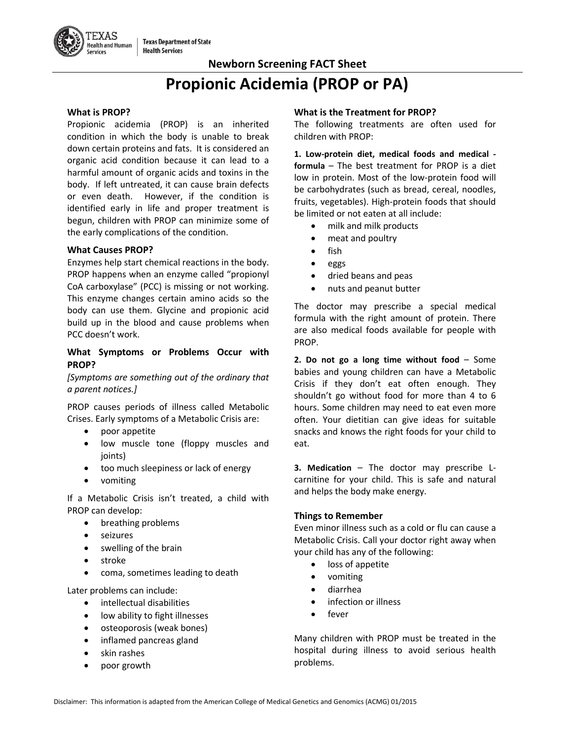# **Propionic Acidemia (PROP or PA)**

#### **What is PROP?**

Propionic acidemia (PROP) is an inherited condition in which the body is unable to break down certain proteins and fats. It is considered an organic acid condition because it can lead to a harmful amount of organic acids and toxins in the body. If left untreated, it can cause brain defects or even death. However, if the condition is identified early in life and proper treatment is begun, children with PROP can minimize some of the early complications of the condition.

#### **What Causes PROP?**

Enzymes help start chemical reactions in the body. PROP happens when an enzyme called "propionyl CoA carboxylase" (PCC) is missing or not working. This enzyme changes certain amino acids so the body can use them. Glycine and propionic acid build up in the blood and cause problems when PCC doesn't work.

#### **What Symptoms or Problems Occur with PROP?**

*[Symptoms are something out of the ordinary that a parent notices.]*

PROP causes periods of illness called Metabolic Crises. Early symptoms of a Metabolic Crisis are:

- poor appetite
- low muscle tone (floppy muscles and joints)
- too much sleepiness or lack of energy
- vomiting

If a Metabolic Crisis isn't treated, a child with PROP can develop:

- breathing problems
- seizures
- swelling of the brain
- stroke
- coma, sometimes leading to death

Later problems can include:

- intellectual disabilities
- low ability to fight illnesses
- osteoporosis (weak bones)
- inflamed pancreas gland
- skin rashes
- poor growth

#### **What is the Treatment for PROP?**

The following treatments are often used for children with PROP:

**1. Low-protein diet, medical foods and medical formula** – The best treatment for PROP is a diet low in protein. Most of the low-protein food will be carbohydrates (such as bread, cereal, noodles, fruits, vegetables). High-protein foods that should be limited or not eaten at all include:

- milk and milk products
- meat and poultry
- fish
- eggs
- dried beans and peas
- nuts and peanut butter

The doctor may prescribe a special medical formula with the right amount of protein. There are also medical foods available for people with PROP.

**2. Do not go a long time without food** – Some babies and young children can have a Metabolic Crisis if they don't eat often enough. They shouldn't go without food for more than 4 to 6 hours. Some children may need to eat even more often. Your dietitian can give ideas for suitable snacks and knows the right foods for your child to eat.

**3. Medication** – The doctor may prescribe Lcarnitine for your child. This is safe and natural and helps the body make energy.

#### **Things to Remember**

Even minor illness such as a cold or flu can cause a Metabolic Crisis. Call your doctor right away when your child has any of the following:

- loss of appetite
- vomiting
- diarrhea
- infection or illness
- fever

Many children with PROP must be treated in the hospital during illness to avoid serious health problems.

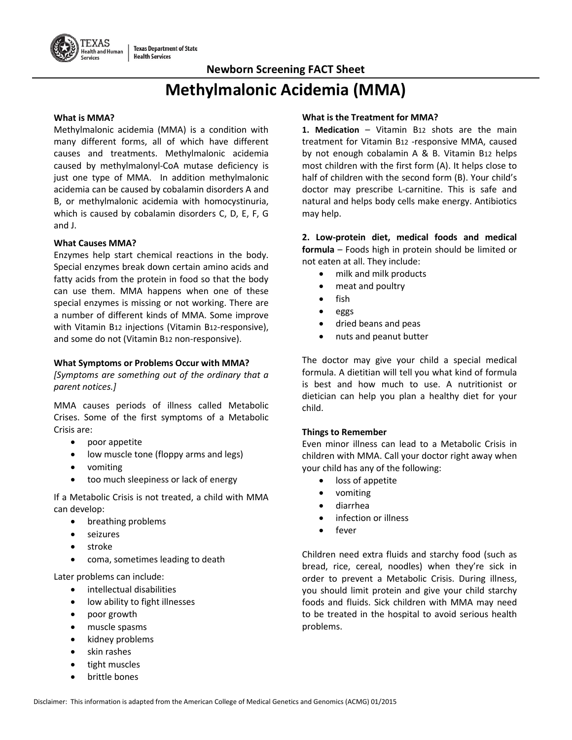# **Methylmalonic Acidemia (MMA)**

#### **What is MMA?**

Methylmalonic acidemia (MMA) is a condition with many different forms, all of which have different causes and treatments. Methylmalonic acidemia caused by methylmalonyl-CoA mutase deficiency is just one type of MMA. In addition methylmalonic acidemia can be caused by cobalamin disorders A and B, or methylmalonic acidemia with homocystinuria, which is caused by cobalamin disorders C, D, E, F, G and J.

#### **What Causes MMA?**

Enzymes help start chemical reactions in the body. Special enzymes break down certain amino acids and fatty acids from the protein in food so that the body can use them. MMA happens when one of these special enzymes is missing or not working. There are a number of different kinds of MMA. Some improve with Vitamin B12 injections (Vitamin B12-responsive), and some do not (Vitamin B12 non-responsive).

#### **What Symptoms or Problems Occur with MMA?**

*[Symptoms are something out of the ordinary that a parent notices.]*

MMA causes periods of illness called Metabolic Crises. Some of the first symptoms of a Metabolic Crisis are:

- poor appetite
- low muscle tone (floppy arms and legs)
- vomiting
- too much sleepiness or lack of energy

If a Metabolic Crisis is not treated, a child with MMA can develop:

- breathing problems
- seizures
- stroke
- coma, sometimes leading to death

Later problems can include:

- intellectual disabilities
- low ability to fight illnesses
- poor growth
- muscle spasms
- kidney problems
- skin rashes
- tight muscles
- brittle bones

#### **What is the Treatment for MMA?**

**1. Medication** – Vitamin B12 shots are the main treatment for Vitamin B12 -responsive MMA, caused by not enough cobalamin A & B. Vitamin B12 helps most children with the first form (A). It helps close to half of children with the second form (B). Your child's doctor may prescribe L-carnitine. This is safe and natural and helps body cells make energy. Antibiotics may help.

**2. Low-protein diet, medical foods and medical formula** – Foods high in protein should be limited or not eaten at all. They include:

- milk and milk products
- meat and poultry
- fish
- eggs
- dried beans and peas
- nuts and peanut butter

The doctor may give your child a special medical formula. A dietitian will tell you what kind of formula is best and how much to use. A nutritionist or dietician can help you plan a healthy diet for your child.

#### **Things to Remember**

Even minor illness can lead to a Metabolic Crisis in children with MMA. Call your doctor right away when your child has any of the following:

- loss of appetite
- vomiting
- diarrhea
- infection or illness
- fever

Children need extra fluids and starchy food (such as bread, rice, cereal, noodles) when they're sick in order to prevent a Metabolic Crisis. During illness, you should limit protein and give your child starchy foods and fluids. Sick children with MMA may need to be treated in the hospital to avoid serious health problems.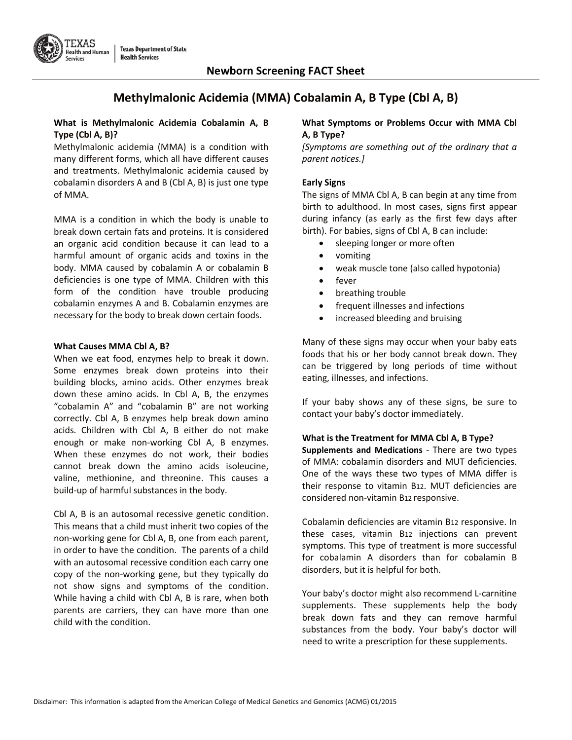

# **Methylmalonic Acidemia (MMA) Cobalamin A, B Type (Cbl A, B)**

#### **What is Methylmalonic Acidemia Cobalamin A, B Type (Cbl A, B)?**

Methylmalonic acidemia (MMA) is a condition with many different forms, which all have different causes and treatments. Methylmalonic acidemia caused by cobalamin disorders A and B (Cbl A, B) is just one type of MMA.

MMA is a condition in which the body is unable to break down certain fats and proteins. It is considered an organic acid condition because it can lead to a harmful amount of organic acids and toxins in the body. MMA caused by cobalamin A or cobalamin B deficiencies is one type of MMA. Children with this form of the condition have trouble producing cobalamin enzymes A and B. Cobalamin enzymes are necessary for the body to break down certain foods.

#### **What Causes MMA Cbl A, B?**

When we eat food, enzymes help to break it down. Some enzymes break down proteins into their building blocks, amino acids. Other enzymes break down these amino acids. In Cbl A, B, the enzymes "cobalamin A" and "cobalamin B" are not working correctly. Cbl A, B enzymes help break down amino acids. Children with Cbl A, B either do not make enough or make non-working Cbl A, B enzymes. When these enzymes do not work, their bodies cannot break down the amino acids isoleucine, valine, methionine, and threonine. This causes a build-up of harmful substances in the body.

Cbl A, B is an autosomal recessive genetic condition. This means that a child must inherit two copies of the non-working gene for Cbl A, B, one from each parent, in order to have the condition. The parents of a child with an autosomal recessive condition each carry one copy of the non-working gene, but they typically do not show signs and symptoms of the condition. While having a child with Cbl A, B is rare, when both parents are carriers, they can have more than one child with the condition.

#### **What Symptoms or Problems Occur with MMA Cbl A, B Type?**

*[Symptoms are something out of the ordinary that a parent notices.]*

#### **Early Signs**

The signs of MMA Cbl A, B can begin at any time from birth to adulthood. In most cases, signs first appear during infancy (as early as the first few days after birth). For babies, signs of Cbl A, B can include:

- sleeping longer or more often
- vomiting
- weak muscle tone (also called hypotonia)
- fever
- breathing trouble
- frequent illnesses and infections
- increased bleeding and bruising

Many of these signs may occur when your baby eats foods that his or her body cannot break down. They can be triggered by long periods of time without eating, illnesses, and infections.

If your baby shows any of these signs, be sure to contact your baby's doctor immediately.

#### **What is the Treatment for MMA Cbl A, B Type?**

**Supplements and Medications** - There are two types of MMA: cobalamin disorders and MUT deficiencies. One of the ways these two types of MMA differ is their response to vitamin B12. MUT deficiencies are considered non-vitamin B12 responsive.

Cobalamin deficiencies are vitamin B12 responsive. In these cases, vitamin B12 injections can prevent symptoms. This type of treatment is more successful for cobalamin A disorders than for cobalamin B disorders, but it is helpful for both.

Your baby's doctor might also recommend L-carnitine supplements. These supplements help the body break down fats and they can remove harmful substances from the body. Your baby's doctor will need to write a prescription for these supplements.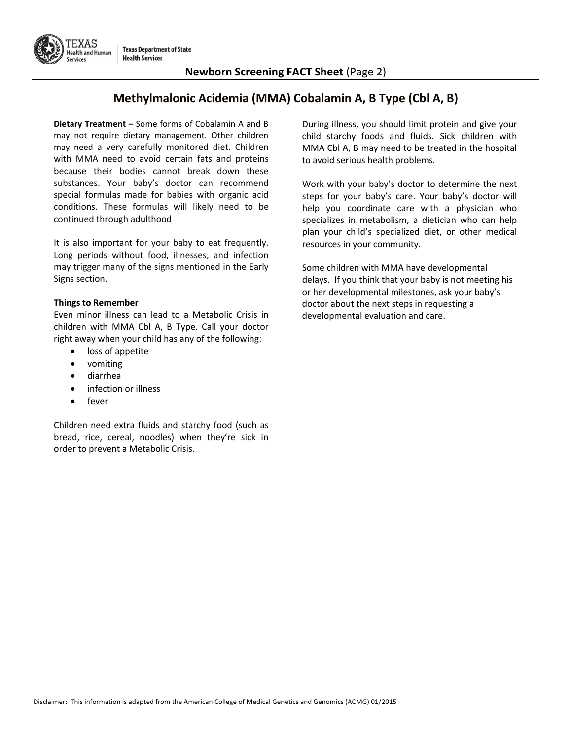

## **Newborn Screening FACT Sheet** (Page 2)

# **Methylmalonic Acidemia (MMA) Cobalamin A, B Type (Cbl A, B)**

**Dietary Treatment –** Some forms of Cobalamin A and B may not require dietary management. Other children may need a very carefully monitored diet. Children with MMA need to avoid certain fats and proteins because their bodies cannot break down these substances. Your baby's doctor can recommend special formulas made for babies with organic acid conditions. These formulas will likely need to be continued through adulthood

It is also important for your baby to eat frequently. Long periods without food, illnesses, and infection may trigger many of the signs mentioned in the Early Signs section.

#### **Things to Remember**

Even minor illness can lead to a Metabolic Crisis in children with MMA Cbl A, B Type. Call your doctor right away when your child has any of the following:

- loss of appetite
- vomiting
- diarrhea
- infection or illness
- fever

Children need extra fluids and starchy food (such as bread, rice, cereal, noodles) when they're sick in order to prevent a Metabolic Crisis.

During illness, you should limit protein and give your child starchy foods and fluids. Sick children with MMA Cbl A, B may need to be treated in the hospital to avoid serious health problems.

Work with your baby's doctor to determine the next steps for your baby's care. Your baby's doctor will help you coordinate care with a physician who specializes in metabolism, a dietician who can help plan your child's specialized diet, or other medical resources in your community.

Some children with MMA have developmental delays. If you think that your baby is not meeting his or her developmental milestones, ask your baby's doctor about the next steps in requesting a developmental evaluation and care.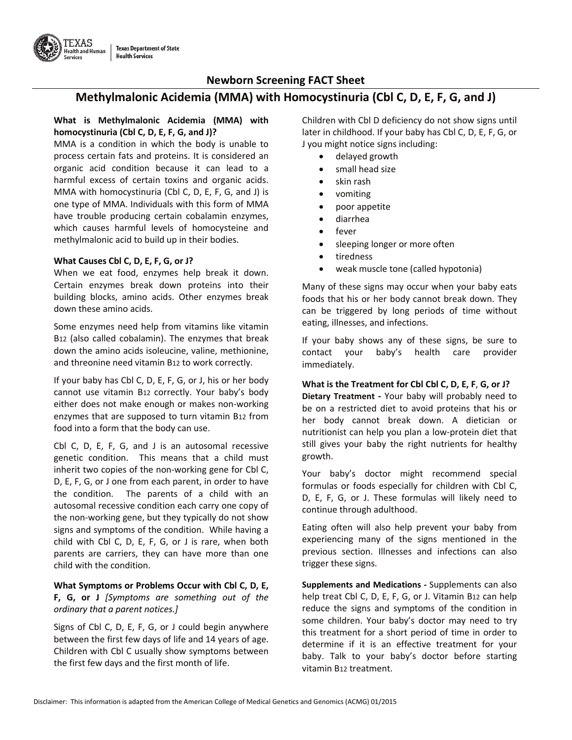

## **Methylmalonic Acidemia (MMA) with Homocystinuria (Cbl C, D, E, F, G, and J)**

#### **What is Methylmalonic Acidemia (MMA) with homocystinuria (Cbl C, D, E, F, G, and J)?**

MMA is a condition in which the body is unable to process certain fats and proteins. It is considered an organic acid condition because it can lead to a harmful excess of certain toxins and organic acids. MMA with homocystinuria (Cbl C, D, E, F, G, and J) is one type of MMA. Individuals with this form of MMA have trouble producing certain cobalamin enzymes, which causes harmful levels of homocysteine and methylmalonic acid to build up in their bodies.

#### **What Causes Cbl C, D, E, F, G, or J?**

When we eat food, enzymes help break it down. Certain enzymes break down proteins into their building blocks, amino acids. Other enzymes break down these amino acids.

Some enzymes need help from vitamins like vitamin B12 (also called cobalamin). The enzymes that break down the amino acids isoleucine, valine, methionine, and threonine need vitamin B12 to work correctly.

If your baby has Cbl C, D, E, F, G, or J, his or her body cannot use vitamin B12 correctly. Your baby's body either does not make enough or makes non-working enzymes that are supposed to turn vitamin B12 from food into a form that the body can use.

Cbl C, D, E, F, G, and J is an autosomal recessive genetic condition. This means that a child must inherit two copies of the non-working gene for Cbl C, D, E, F, G, or J one from each parent, in order to have the condition. The parents of a child with an autosomal recessive condition each carry one copy of the non-working gene, but they typically do not show signs and symptoms of the condition. While having a child with Cbl C, D, E, F, G, or J is rare, when both parents are carriers, they can have more than one child with the condition.

#### **What Symptoms or Problems Occur with Cbl C, D, E, F, G, or J** *[Symptoms are something out of the ordinary that a parent notices.]*

Signs of Cbl C, D, E, F, G, or J could begin anywhere between the first few days of life and 14 years of age. Children with Cbl C usually show symptoms between the first few days and the first month of life.

Children with Cbl D deficiency do not show signs until later in childhood. If your baby has Cbl C, D, E, F, G, or J you might notice signs including:

- delayed growth
- small head size
- skin rash
- vomiting
- poor appetite
- diarrhea
- fever
- sleeping longer or more often
- tiredness
- weak muscle tone (called hypotonia)

Many of these signs may occur when your baby eats foods that his or her body cannot break down. They can be triggered by long periods of time without eating, illnesses, and infections.

If your baby shows any of these signs, be sure to contact your baby's health care provider immediately.

#### **What is the Treatment for Cbl Cbl C, D, E, F**, **G, or J?**

**Dietary Treatment -** Your baby will probably need to be on a restricted diet to avoid proteins that his or her body cannot break down. A dietician or nutritionist can help you plan a low-protein diet that still gives your baby the right nutrients for healthy growth.

Your baby's doctor might recommend special formulas or foods especially for children with Cbl C, D, E, F, G, or J. These formulas will likely need to continue through adulthood.

Eating often will also help prevent your baby from experiencing many of the signs mentioned in the previous section. Illnesses and infections can also trigger these signs.

**Supplements and Medications -** Supplements can also help treat Cbl C, D, E, F, G, or J. Vitamin B12 can help reduce the signs and symptoms of the condition in some children. Your baby's doctor may need to try this treatment for a short period of time in order to determine if it is an effective treatment for your baby. Talk to your baby's doctor before starting vitamin B12 treatment.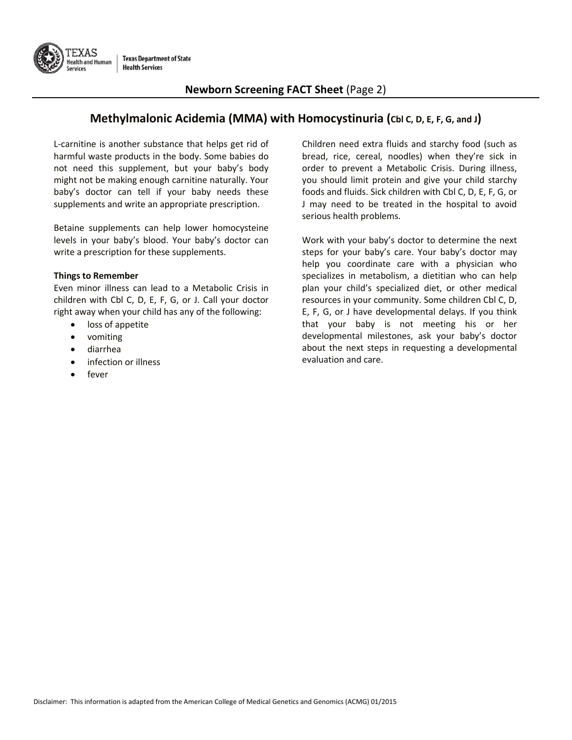

### **Newborn Screening FACT Sheet** (Page 2)

## **Methylmalonic Acidemia (MMA) with Homocystinuria (Cbl C, D, E, F, G, and J)**

L-carnitine is another substance that helps get rid of harmful waste products in the body. Some babies do not need this supplement, but your baby's body might not be making enough carnitine naturally. Your baby's doctor can tell if your baby needs these supplements and write an appropriate prescription.

Betaine supplements can help lower homocysteine levels in your baby's blood. Your baby's doctor can write a prescription for these supplements.

#### **Things to Remember**

Even minor illness can lead to a Metabolic Crisis in children with Cbl C, D, E, F, G, or J. Call your doctor right away when your child has any of the following:

- loss of appetite
- vomiting
- diarrhea
- infection or illness
- fever

Children need extra fluids and starchy food (such as bread, rice, cereal, noodles) when they're sick in order to prevent a Metabolic Crisis. During illness, you should limit protein and give your child starchy foods and fluids. Sick children with Cbl C, D, E, F, G, or J may need to be treated in the hospital to avoid serious health problems.

Work with your baby's doctor to determine the next steps for your baby's care. Your baby's doctor may help you coordinate care with a physician who specializes in metabolism, a dietitian who can help plan your child's specialized diet, or other medical resources in your community. Some children Cbl C, D, E, F, G, or J have developmental delays. If you think that your baby is not meeting his or her developmental milestones, ask your baby's doctor about the next steps in requesting a developmental evaluation and care.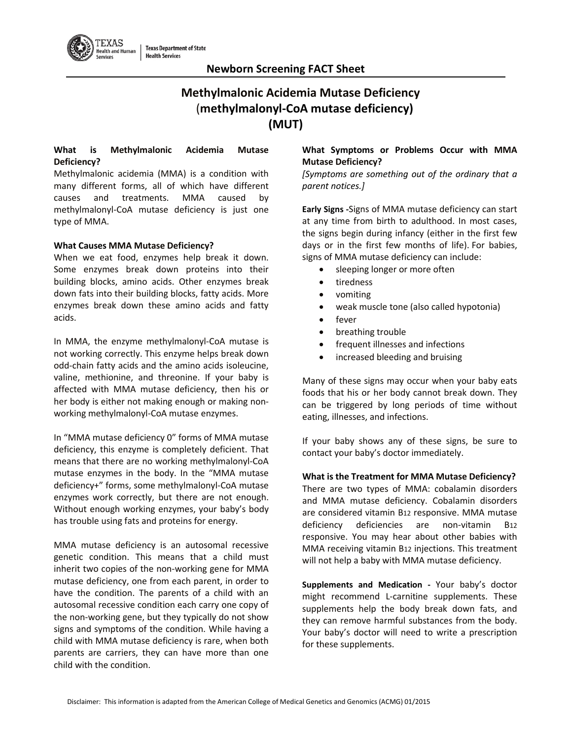

# **Methylmalonic Acidemia Mutase Deficiency** (**methylmalonyl-CoA mutase deficiency) (MUT)**

#### **What is Methylmalonic Acidemia Mutase Deficiency?**

Methylmalonic acidemia (MMA) is a condition with many different forms, all of which have different causes and treatments. MMA caused by methylmalonyl-CoA mutase deficiency is just one type of MMA.

#### **What Causes MMA Mutase Deficiency?**

When we eat food, enzymes help break it down. Some enzymes break down proteins into their building blocks, amino acids. Other enzymes break down fats into their building blocks, fatty acids. More enzymes break down these amino acids and fatty acids.

In MMA, the enzyme methylmalonyl-CoA mutase is not working correctly. This enzyme helps break down odd-chain fatty acids and the amino acids isoleucine, valine, methionine, and threonine. If your baby is affected with MMA mutase deficiency, then his or her body is either not making enough or making nonworking methylmalonyl-CoA mutase enzymes.

In "MMA mutase deficiency 0" forms of MMA mutase deficiency, this enzyme is completely deficient. That means that there are no working methylmalonyl-CoA mutase enzymes in the body. In the "MMA mutase deficiency+" forms, some methylmalonyl-CoA mutase enzymes work correctly, but there are not enough. Without enough working enzymes, your baby's body has trouble using fats and proteins for energy.

MMA mutase deficiency is an autosomal recessive genetic condition. This means that a child must inherit two copies of the non-working gene for MMA mutase deficiency, one from each parent, in order to have the condition. The parents of a child with an autosomal recessive condition each carry one copy of the non-working gene, but they typically do not show signs and symptoms of the condition. While having a child with MMA mutase deficiency is rare, when both parents are carriers, they can have more than one child with the condition.

#### **What Symptoms or Problems Occur with MMA Mutase Deficiency?**

*[Symptoms are something out of the ordinary that a parent notices.]*

**Early Signs -**Signs of MMA mutase deficiency can start at any time from birth to adulthood. In most cases, the signs begin during infancy (either in the first few days or in the first few months of life). For babies, signs of MMA mutase deficiency can include:

- sleeping longer or more often
- tiredness
- vomiting
- weak muscle tone (also called hypotonia)
- fever
- breathing trouble
- frequent illnesses and infections
- increased bleeding and bruising

Many of these signs may occur when your baby eats foods that his or her body cannot break down. They can be triggered by long periods of time without eating, illnesses, and infections.

If your baby shows any of these signs, be sure to contact your baby's doctor immediately.

**What is the Treatment for MMA Mutase Deficiency?** There are two types of MMA: cobalamin disorders and MMA mutase deficiency. Cobalamin disorders are considered vitamin B12 responsive. MMA mutase deficiency deficiencies are non-vitamin B12 responsive. You may hear about other babies with MMA receiving vitamin B12 injections. This treatment will not help a baby with MMA mutase deficiency.

**Supplements and Medication -** Your baby's doctor might recommend L-carnitine supplements. These supplements help the body break down fats, and they can remove harmful substances from the body. Your baby's doctor will need to write a prescription for these supplements.